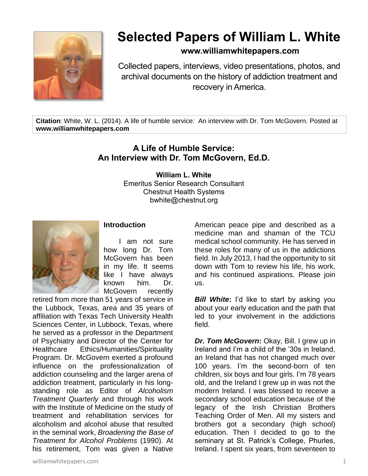

# **Selected Papers of William L. White**

## **www.williamwhitepapers.com**

Collected papers, interviews, video presentations, photos, and archival documents on the history of addiction treatment and recovery in America.

**Citation**: White, W. L. (2014). A life of humble service: An interview with Dr. Tom McGovern. Posted at **www.williamwhitepapers.com**

## **A Life of Humble Service: An Interview with Dr. Tom McGovern, Ed.D.**

**William L. White** Emeritus Senior Research Consultant Chestnut Health Systems bwhite@chestnut.org



### **Introduction**

I am not sure how long Dr. Tom McGovern has been in my life. It seems like I have always known him. Dr. McGovern recently

retired from more than 51 years of service in the Lubbock, Texas, area and 35 years of affiliation with Texas Tech University Health Sciences Center, in Lubbock, Texas, where he served as a professor in the Department of Psychiatry and Director of the Center for Healthcare Ethics/Humanities/Spirituality Program. Dr. McGovern exerted a profound influence on the professionalization of addiction counseling and the larger arena of addiction treatment, particularly in his longstanding role as Editor of *Alcoholism Treatment Quarterly* and through his work with the Institute of Medicine on the study of treatment and rehabilitation services for alcoholism and alcohol abuse that resulted in the seminal work, *Broadening the Base of Treatment for Alcohol Problems* (1990). At his retirement, Tom was given a Native

American peace pipe and described as a medicine man and shaman of the TCU medical school community. He has served in these roles for many of us in the addictions field. In July 2013, I had the opportunity to sit down with Tom to review his life, his work, and his continued aspirations. Please join us.

*Bill White***:** I'd like to start by asking you about your early education and the path that led to your involvement in the addictions field.

*Dr. Tom McGovern***:** Okay, Bill. I grew up in Ireland and I'm a child of the '30s in Ireland, an Ireland that has not changed much over 100 years. I'm the second-born of ten children, six boys and four girls. I'm 78 years old, and the Ireland I grew up in was not the modern Ireland. I was blessed to receive a secondary school education because of the legacy of the Irish Christian Brothers Teaching Order of Men. All my sisters and brothers got a secondary (high school) education. Then I decided to go to the seminary at St. Patrick's College, Phurles, Ireland. I spent six years, from seventeen to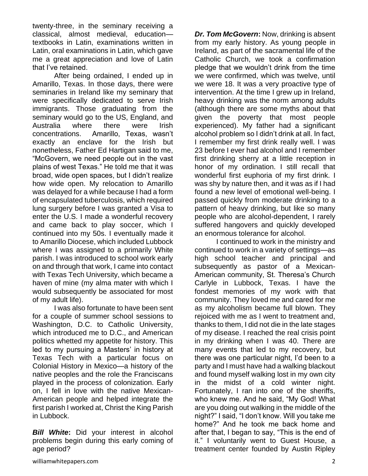twenty-three, in the seminary receiving a classical, almost medieval, education textbooks in Latin, examinations written in Latin, oral examinations in Latin, which gave me a great appreciation and love of Latin that I've retained.

After being ordained, I ended up in Amarillo, Texas. In those days, there were seminaries in Ireland like my seminary that were specifically dedicated to serve Irish immigrants. Those graduating from the seminary would go to the US, England, and Australia where there were Irish concentrations. Amarillo, Texas, wasn't exactly an enclave for the Irish but nonetheless, Father Ed Hartigan said to me, "McGovern, we need people out in the vast plains of west Texas." He told me that it was broad, wide open spaces, but I didn't realize how wide open. My relocation to Amarillo was delayed for a while because I had a form of encapsulated tuberculosis, which required lung surgery before I was granted a Visa to enter the U.S. I made a wonderful recovery and came back to play soccer, which I continued into my 50s. I eventually made it to Amarillo Diocese, which included Lubbock where I was assigned to a primarily White parish. I was introduced to school work early on and through that work, I came into contact with Texas Tech University, which became a haven of mine (my alma mater with which I would subsequently be associated for most of my adult life).

I was also fortunate to have been sent for a couple of summer school sessions to Washington, D.C. to Catholic University, which introduced me to D.C., and American politics whetted my appetite for history. This led to my pursuing a Masters' in history at Texas Tech with a particular focus on Colonial History in Mexico—a history of the native peoples and the role the Franciscans played in the process of colonization. Early on, I fell in love with the native Mexican-American people and helped integrate the first parish I worked at, Christ the King Parish in Lubbock.

*Bill White***:** Did your interest in alcohol problems begin during this early coming of age period?

*Dr. Tom McGovern***:** Now, drinking is absent from my early history. As young people in Ireland, as part of the sacramental life of the Catholic Church, we took a confirmation pledge that we wouldn't drink from the time we were confirmed, which was twelve, until we were 18. It was a very proactive type of intervention. At the time I grew up in Ireland, heavy drinking was the norm among adults (although there are some myths about that given the poverty that most people experienced). My father had a significant alcohol problem so I didn't drink at all. In fact, I remember my first drink really well. I was 23 before I ever had alcohol and I remember first drinking sherry at a little reception in honor of my ordination. I still recall that wonderful first euphoria of my first drink. I was shy by nature then, and it was as if I had found a new level of emotional well-being. I passed quickly from moderate drinking to a pattern of heavy drinking, but like so many people who are alcohol-dependent, I rarely suffered hangovers and quickly developed an enormous tolerance for alcohol.

I continued to work in the ministry and continued to work in a variety of settings—as high school teacher and principal and subsequently as pastor of a Mexican-American community, St. Theresa's Church Carlyle in Lubbock, Texas. I have the fondest memories of my work with that community. They loved me and cared for me as my alcoholism became full blown. They rejoiced with me as I went to treatment and, thanks to them, I did not die in the late stages of my disease. I reached the real crisis point in my drinking when I was 40. There are many events that led to my recovery, but there was one particular night, I'd been to a party and I must have had a walking blackout and found myself walking lost in my own city in the midst of a cold winter night. Fortunately, I ran into one of the sheriffs, who knew me. And he said, "My God! What are you doing out walking in the middle of the night?" I said, "I don't know. Will you take me home?" And he took me back home and after that, I began to say, "This is the end of it." I voluntarily went to Guest House, a treatment center founded by Austin Ripley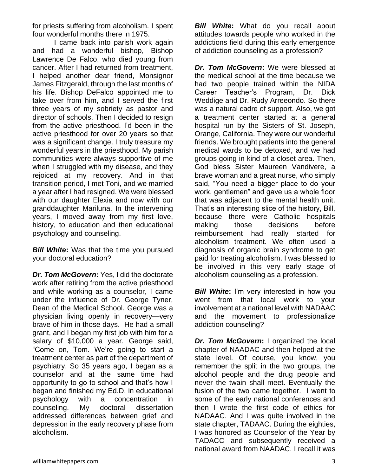for priests suffering from alcoholism. I spent four wonderful months there in 1975.

I came back into parish work again and had a wonderful bishop, Bishop Lawrence De Falco, who died young from cancer. After I had returned from treatment, I helped another dear friend, Monsignor James Fitzgerald, through the last months of his life. Bishop DeFalco appointed me to take over from him, and I served the first three years of my sobriety as pastor and director of schools. Then I decided to resign from the active priesthood. I'd been in the active priesthood for over 20 years so that was a significant change. I truly treasure my wonderful years in the priesthood. My parish communities were always supportive of me when I struggled with my disease, and they rejoiced at my recovery. And in that transition period, I met Toni, and we married a year after I had resigned. We were blessed with our daughter Elexia and now with our granddaughter Mariluna. In the intervening years, I moved away from my first love, history, to education and then educational psychology and counseling.

*Bill White***:** Was that the time you pursued your doctoral education?

*Dr. Tom McGovern***:** Yes, I did the doctorate work after retiring from the active priesthood and while working as a counselor, I came under the influence of Dr. George Tyner, Dean of the Medical School. George was a physician living openly in recovery—very brave of him in those days. He had a small grant, and I began my first job with him for a salary of \$10,000 a year. George said, "Come on, Tom. We're going to start a treatment center as part of the department of psychiatry. So 35 years ago, I began as a counselor and at the same time had opportunity to go to school and that's how I began and finished my Ed.D. in educational psychology with a concentration in counseling. My doctoral dissertation addressed differences between grief and depression in the early recovery phase from alcoholism.

*Bill White***:** What do you recall about attitudes towards people who worked in the addictions field during this early emergence of addiction counseling as a profession?

*Dr. Tom McGovern***:** We were blessed at the medical school at the time because we had two people trained within the NIDA Career Teacher's Program, Dr. Dick Weddige and Dr. Rudy Arreeondo. So there was a natural cadre of support. Also, we got a treatment center started at a general hospital run by the Sisters of St. Joseph, Orange, California. They were our wonderful friends. We brought patients into the general medical wards to be detoxed, and we had groups going in kind of a closet area. Then, God bless Sister Maureen Vandivere, a brave woman and a great nurse, who simply said, "You need a bigger place to do your work, gentlemen" and gave us a whole floor that was adjacent to the mental health unit. That's an interesting slice of the history, Bill, because there were Catholic hospitals making those decisions before reimbursement had really started for alcoholism treatment. We often used a diagnosis of organic brain syndrome to get paid for treating alcoholism. I was blessed to be involved in this very early stage of alcoholism counseling as a profession.

*Bill White*: I'm very interested in how you went from that local work to your involvement at a national level with NADAAC and the movement to professionalize addiction counseling?

*Dr. Tom McGovern***:** I organized the local chapter of NAADAC and then helped at the state level. Of course, you know, you remember the split in the two groups, the alcohol people and the drug people and never the twain shall meet. Eventually the fusion of the two came together. I went to some of the early national conferences and then I wrote the first code of ethics for NADAAC. And I was quite involved in the state chapter, TADAAC. During the eighties, I was honored as Counselor of the Year by TADACC and subsequently received a national award from NAADAC. I recall it was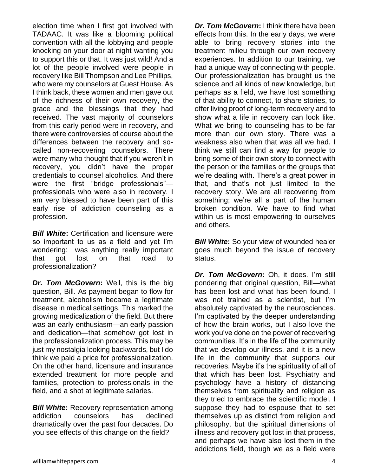election time when I first got involved with TADAAC. It was like a blooming political convention with all the lobbying and people knocking on your door at night wanting you to support this or that. It was just wild! And a lot of the people involved were people in recovery like Bill Thompson and Lee Phillips, who were my counselors at Guest House. As I think back, these women and men gave out of the richness of their own recovery, the grace and the blessings that they had received. The vast majority of counselors from this early period were in recovery, and there were controversies of course about the differences between the recovery and socalled non-recovering counselors. There were many who thought that if you weren't in recovery, you didn't have the proper credentials to counsel alcoholics. And there were the first "bridge professionals" professionals who were also in recovery. I am very blessed to have been part of this early rise of addiction counseling as a profession.

*Bill White***:** Certification and licensure were so important to us as a field and yet I'm wondering: was anything really important that got lost on that road to professionalization?

*Dr. Tom McGovern***:** Well, this is the big question, Bill. As payment began to flow for treatment, alcoholism became a legitimate disease in medical settings. This marked the growing medicalization of the field. But there was an early enthusiasm—an early passion and dedication—that somehow got lost in the professionalization process. This may be just my nostalgia looking backwards, but I do think we paid a price for professionalization. On the other hand, licensure and insurance extended treatment for more people and families, protection to professionals in the field, and a shot at legitimate salaries.

*Bill White***:** Recovery representation among addiction counselors has declined dramatically over the past four decades. Do you see effects of this change on the field?

*Dr. Tom McGovern***:** I think there have been effects from this. In the early days, we were able to bring recovery stories into the treatment milieu through our own recovery experiences. In addition to our training, we had a unique way of connecting with people. Our professionalization has brought us the science and all kinds of new knowledge, but perhaps as a field, we have lost something of that ability to connect, to share stories, to offer living proof of long-term recovery and to show what a life in recovery can look like. What we bring to counseling has to be far more than our own story. There was a weakness also when that was all we had. I think we still can find a way for people to bring some of their own story to connect with the person or the families or the groups that we're dealing with. There's a great power in that, and that's not just limited to the recovery story. We are all recovering from something; we're all a part of the human broken condition. We have to find what within us is most empowering to ourselves and others.

**Bill White:** So your view of wounded healer goes much beyond the issue of recovery status.

*Dr. Tom McGovern***:** Oh, it does. I'm still pondering that original question, Bill—what has been lost and what has been found. I was not trained as a scientist, but I'm absolutely captivated by the neurosciences. I'm captivated by the deeper understanding of how the brain works, but I also love the work you've done on the power of recovering communities. It's in the life of the community that we develop our illness, and it is a new life in the community that supports our recoveries. Maybe it's the spirituality of all of that which has been lost. Psychiatry and psychology have a history of distancing themselves from spirituality and religion as they tried to embrace the scientific model. I suppose they had to espouse that to set themselves up as distinct from religion and philosophy, but the spiritual dimensions of illness and recovery got lost in that process, and perhaps we have also lost them in the addictions field, though we as a field were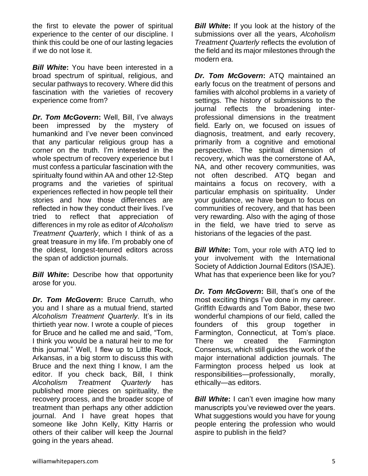the first to elevate the power of spiritual experience to the center of our discipline. I think this could be one of our lasting legacies if we do not lose it.

*Bill White***:** You have been interested in a broad spectrum of spiritual, religious, and secular pathways to recovery. Where did this fascination with the varieties of recovery experience come from?

*Dr. Tom McGovern***:** Well, Bill, I've always been impressed by the mystery of humankind and I've never been convinced that any particular religious group has a corner on the truth. I'm interested in the whole spectrum of recovery experience but I must confess a particular fascination with the spiritualty found within AA and other 12-Step programs and the varieties of spiritual experiences reflected in how people tell their stories and how those differences are reflected in how they conduct their lives. I've tried to reflect that appreciation of differences in my role as editor of *Alcoholism Treatment Quarterly*, which I think of as a great treasure in my life. I'm probably one of the oldest, longest-tenured editors across the span of addiction journals.

*Bill White***:** Describe how that opportunity arose for you.

*Dr. Tom McGovern***:** Bruce Carruth, who you and I share as a mutual friend, started *Alcoholism Treatment Quarterly*. It's in its thirtieth year now. I wrote a couple of pieces for Bruce and he called me and said, "Tom, I think you would be a natural heir to me for this journal." Well, I flew up to Little Rock, Arkansas, in a big storm to discuss this with Bruce and the next thing I know, I am the editor. If you check back, Bill, I think *Alcoholism Treatment Quarterly* has published more pieces on spirituality, the recovery process, and the broader scope of treatment than perhaps any other addiction journal. And I have great hopes that someone like John Kelly, Kitty Harris or others of their caliber will keep the Journal going in the years ahead.

*Bill White:* If you look at the history of the submissions over all the years, *Alcoholism Treatment Quarterly* reflects the evolution of the field and its major milestones through the modern era.

*Dr. Tom McGovern***:** ATQ maintained an early focus on the treatment of persons and families with alcohol problems in a variety of settings. The history of submissions to the journal reflects the broadening interprofessional dimensions in the treatment field. Early on, we focused on issues of diagnosis, treatment, and early recovery, primarily from a cognitive and emotional perspective. The spiritual dimension of recovery, which was the cornerstone of AA, NA, and other recovery communities, was not often described. ATQ began and maintains a focus on recovery, with a particular emphasis on spirituality. Under your guidance, we have begun to focus on communities of recovery, and that has been very rewarding. Also with the aging of those in the field, we have tried to serve as historians of the legacies of the past.

*Bill White***:** Tom, your role with ATQ led to your involvement with the International Society of Addiction Journal Editors (ISAJE). What has that experience been like for you?

*Dr. Tom McGovern***:** Bill, that's one of the most exciting things I've done in my career. Griffith Edwards and Tom Babor, these two wonderful champions of our field, called the founders of this group together in Farmington, Connecticut, at Tom's place. There we created the Farmington Consensus, which still guides the work of the major international addiction journals. The Farmington process helped us look at responsibilities—professionally, morally, ethically—as editors.

*Bill White*: I can't even imagine how many manuscripts you've reviewed over the years. What suggestions would you have for young people entering the profession who would aspire to publish in the field?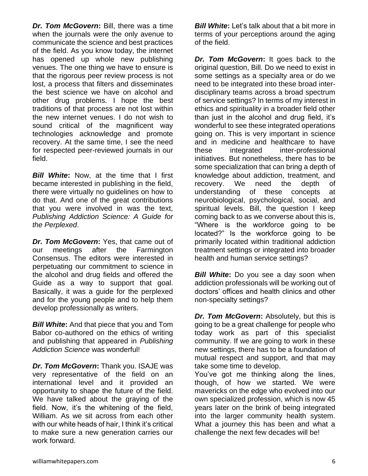*Dr. Tom McGovern***:** Bill, there was a time when the journals were the only avenue to communicate the science and best practices of the field. As you know today, the internet has opened up whole new publishing venues. The one thing we have to ensure is that the rigorous peer review process is not lost, a process that filters and disseminates the best science we have on alcohol and other drug problems. I hope the best traditions of that process are not lost within the new internet venues. I do not wish to sound critical of the magnificent way technologies acknowledge and promote recovery. At the same time, I see the need for respected peer-reviewed journals in our field.

*Bill White***:** Now, at the time that I first became interested in publishing in the field, there were virtually no guidelines on how to do that. And one of the great contributions that you were involved in was the text, *Publishing Addiction Science: A Guide for the Perplexed*.

*Dr. Tom McGovern***:** Yes, that came out of our meetings after the Farmington Consensus. The editors were interested in perpetuating our commitment to science in the alcohol and drug fields and offered the Guide as a way to support that goal. Basically, it was a guide for the perplexed and for the young people and to help them develop professionally as writers.

*Bill White***:** And that piece that you and Tom Babor co-authored on the ethics of writing and publishing that appeared in *Publishing Addiction Science* was wonderful!

*Dr. Tom McGovern***:** Thank you. ISAJE was very representative of the field on an international level and it provided an opportunity to shape the future of the field. We have talked about the graying of the field. Now, it's the whitening of the field, William. As we sit across from each other with our white heads of hair. I think it's critical to make sure a new generation carries our work forward.

*Bill White***:** Let's talk about that a bit more in terms of your perceptions around the aging of the field.

*Dr. Tom McGovern***:** It goes back to the original question, Bill. Do we need to exist in some settings as a specialty area or do we need to be integrated into these broad interdisciplinary teams across a broad spectrum of service settings? In terms of my interest in ethics and spirituality in a broader field other than just in the alcohol and drug field, it's wonderful to see these integrated operations going on. This is very important in science and in medicine and healthcare to have these integrated inter-professional initiatives. But nonetheless, there has to be some specialization that can bring a depth of knowledge about addiction, treatment, and recovery. We need the depth of understanding of these concepts at neurobiological, psychological, social, and spiritual levels. Bill, the question I keep coming back to as we converse about this is, "Where is the workforce going to be located?" Is the workforce going to be primarily located within traditional addiction treatment settings or integrated into broader health and human service settings?

*Bill White:* Do you see a day soon when addiction professionals will be working out of doctors' offices and health clinics and other non-specialty settings?

*Dr. Tom McGovern***:** Absolutely, but this is going to be a great challenge for people who today work as part of this specialist community. If we are going to work in these new settings, there has to be a foundation of mutual respect and support, and that may take some time to develop.

You've got me thinking along the lines, though, of how we started. We were mavericks on the edge who evolved into our own specialized profession, which is now 45 years later on the brink of being integrated into the larger community health system. What a journey this has been and what a challenge the next few decades will be!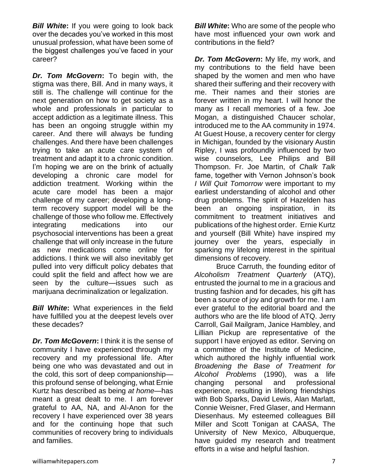**Bill White:** If you were going to look back over the decades you've worked in this most unusual profession, what have been some of the biggest challenges you've faced in your career?

*Dr. Tom McGovern***:** To begin with, the stigma was there, Bill. And in many ways, it still is. The challenge will continue for the next generation on how to get society as a whole and professionals in particular to accept addiction as a legitimate illness. This has been an ongoing struggle within my career. And there will always be funding challenges. And there have been challenges trying to take an acute care system of treatment and adapt it to a chronic condition. I'm hoping we are on the brink of actually developing a chronic care model for addiction treatment. Working within the acute care model has been a major challenge of my career; developing a longterm recovery support model will be the challenge of those who follow me. Effectively integrating medications into our psychosocial interventions has been a great challenge that will only increase in the future as new medications come online for addictions. I think we will also inevitably get pulled into very difficult policy debates that could split the field and affect how we are seen by the culture—issues such as marijuana decriminalization or legalization.

*Bill White***:** What experiences in the field have fulfilled you at the deepest levels over these decades?

*Dr. Tom McGovern***:** I think it is the sense of community I have experienced through my recovery and my professional life. After being one who was devastated and out in the cold, this sort of deep companionship this profound sense of belonging, what Ernie Kurtz has described as being *at home*—has meant a great dealt to me. I am forever grateful to AA, NA, and Al-Anon for the recovery I have experienced over 38 years and for the continuing hope that such communities of recovery bring to individuals and families.

*Bill White***:** Who are some of the people who have most influenced your own work and contributions in the field?

*Dr. Tom McGovern***:** My life, my work, and my contributions to the field have been shaped by the women and men who have shared their suffering and their recovery with me. Their names and their stories are forever written in my heart. I will honor the many as I recall memories of a few. Joe Mogan, a distinguished Chaucer scholar, introduced me to the AA community in 1974. At Guest House, a recovery center for clergy in Michigan, founded by the visionary Austin Ripley, I was profoundly influenced by two wise counselors, Lee Philips and Bill Thompson. Fr. Joe Martin, of *Chalk Talk* fame, together with Vernon Johnson's book *I Will Quit Tomorrow* were important to my earliest understanding of alcohol and other drug problems. The spirit of Hazelden has been an ongoing inspiration, in its commitment to treatment initiatives and publications of the highest order. Ernie Kurtz and yourself (Bill White) have inspired my journey over the years, especially in sparking my lifelong interest in the spiritual dimensions of recovery.

Bruce Carruth, the founding editor of *Alcoholism Treatment Quarterly* (ATQ), entrusted the journal to me in a gracious and trusting fashion and for decades, his gift has been a source of joy and growth for me. I am ever grateful to the editorial board and the authors who are the life blood of ATQ. Jerry Carroll, Gail Mailgram, Janice Hambley, and Lillian Pickup are representative of the support I have enjoyed as editor. Serving on a committee of the Institute of Medicine, which authored the highly influential work *Broadening the Base of Treatment for Alcohol Problems* (1990), was a life changing personal and professional experience, resulting in lifelong friendships with Bob Sparks, David Lewis, Alan Marlatt, Connie Weisner, Fred Glaser, and Hermann Diesenhaus. My esteemed colleagues Bill Miller and Scott Tonigan at CAASA, The University of New Mexico, Albuquerque, have guided my research and treatment efforts in a wise and helpful fashion.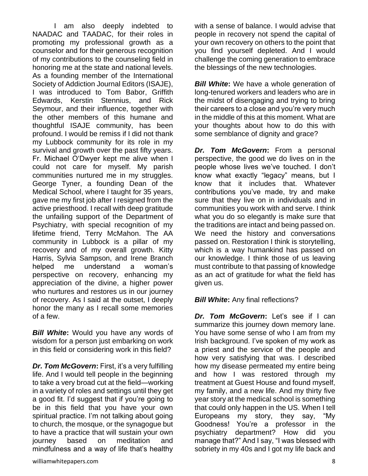I am also deeply indebted to NAADAC and TAADAC, for their roles in promoting my professional growth as a counselor and for their generous recognition of my contributions to the counseling field in honoring me at the state and national levels. As a founding member of the International Society of Addiction Journal Editors (ISAJE), I was introduced to Tom Babor, Griffith Edwards, Kerstin Stennius, and Rick Seymour, and their influence, together with the other members of this humane and thoughtful ISAJE community, has been profound. I would be remiss if I did not thank my Lubbock community for its role in my survival and growth over the past fifty years. Fr. Michael O'Dwyer kept me alive when I could not care for myself. My parish communities nurtured me in my struggles. George Tyner, a founding Dean of the Medical School, where I taught for 35 years, gave me my first job after I resigned from the active priesthood. I recall with deep gratitude the unfailing support of the Department of Psychiatry, with special recognition of my lifetime friend, Terry McMahon. The AA community in Lubbock is a pillar of my recovery and of my overall growth. Kitty Harris, Sylvia Sampson, and Irene Branch helped me understand a woman's perspective on recovery, enhancing my appreciation of the divine, a higher power who nurtures and restores us in our journey of recovery. As I said at the outset, I deeply honor the many as I recall some memories of a few.

*Bill White***:** Would you have any words of wisdom for a person just embarking on work in this field or considering work in this field?

*Dr. Tom McGovern***:** First, it's a very fulfilling life. And I would tell people in the beginning to take a very broad cut at the field—working in a variety of roles and settings until they get a good fit. I'd suggest that if you're going to be in this field that you have your own spiritual practice. I'm not talking about going to church, the mosque, or the synagogue but to have a practice that will sustain your own journey based on meditation and mindfulness and a way of life that's healthy

with a sense of balance. I would advise that people in recovery not spend the capital of your own recovery on others to the point that you find yourself depleted. And I would challenge the coming generation to embrace the blessings of the new technologies.

*Bill White:* We have a whole generation of long-tenured workers and leaders who are in the midst of disengaging and trying to bring their careers to a close and you're very much in the middle of this at this moment. What are your thoughts about how to do this with some semblance of dignity and grace?

*Dr. Tom McGovern***:** From a personal perspective, the good we do lives on in the people whose lives we've touched. I don't know what exactly "legacy" means, but I know that it includes that. Whatever contributions you've made, try and make sure that they live on in individuals and in communities you work with and serve. I think what you do so elegantly is make sure that the traditions are intact and being passed on. We need the history and conversations passed on. Restoration I think is storytelling, which is a way humankind has passed on our knowledge. I think those of us leaving must contribute to that passing of knowledge as an act of gratitude for what the field has given us.

#### **Bill White:** Any final reflections?

*Dr. Tom McGovern***:** Let's see if I can summarize this journey down memory lane. You have some sense of who I am from my Irish background. I've spoken of my work as a priest and the service of the people and how very satisfying that was. I described how my disease permeated my entire being and how I was restored through my treatment at Guest House and found myself, my family, and a new life. And my thirty five year story at the medical school is something that could only happen in the US. When I tell Europeans my story, they say, "My Goodness! You're a professor in the psychiatry department? How did you manage that?" And I say, "I was blessed with sobriety in my 40s and I got my life back and